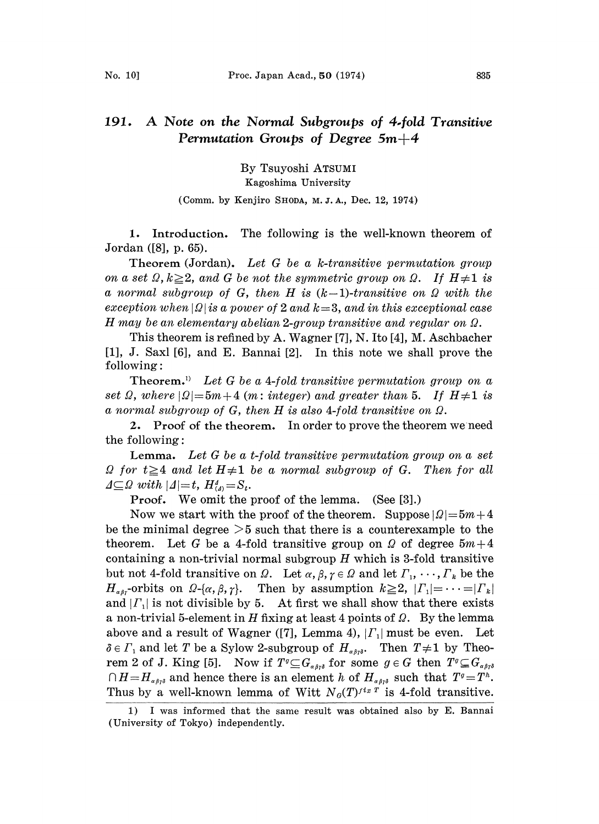## 191. A Note on the Normal Subgroups of 4.fold Transitive Permutation Groups of Degree  $5m+4$

By Tsuyoshi ATSUMI Kagoshima University

## (Comm. by Kenjiro SHODA, M.J.A., Dec. 12, 1974)

1. Introduction. The following is the well-known theorem of Jordan ([8], p. 65).

Theorem (Jordan). Let G be a k-transitive permutation group on a set  $\Omega$ ,  $k \geq 2$ , and G be not the symmetric group on  $\Omega$ . If  $H \neq 1$  is a normal subgroup of G, then H is  $(k-1)$ -transitive on  $\Omega$  with the exception when  $|Q|$  is a power of 2 and  $k=3$ , and in this exceptional case H may be an elementary abelian 2-group transitive and regular on  $\Omega$ .

This theorem is refined by A. Wagner [7], N. Ito [4], M. Aschbacher [1], J. Saxl [6], and E. Bannai [2]. In this note we shall prove the following:

**Theorem.**<sup>1)</sup> Let G be a 4-fold transitive permutation group on a set  $\Omega$ , where  $|\Omega|$ =5m+4 (m: integer) and greater than 5. If  $H\neq 1$  is a normal subgroup of  $G$ , then  $H$  is also 4-fold transitive on  $\Omega$ .

2. Proof of the theorem. In order to prove the theorem we need the following:

Lemma. Let G be a t-fold transitive permutation group on a set  $\Omega$  for  $t \geq 4$  and let  $H \neq 1$  be a normal subgroup of G. Then for all  $\Delta \subseteq \Omega$  with  $|\Delta|=t$ ,  $H_{\Delta}^4=S_t$ .

**Proof.** We omit the proof of the lemma. (See  $[3]$ .)

Now we start with the proof of the theorem. Suppose  $|Q|=5m+4$ be the minimal degree  $>5$  such that there is a counterexample to the theorem. Let G be a 4-fold transitive group on Q of degree  $5m+4$ containing a non-trivial normal subgroup  $H$  which is 3-fold transitive but not 4-fold transitive on  $\Omega$ . Let  $\alpha, \beta, \gamma \in \Omega$  and let  $\Gamma_1, \cdots, \Gamma_k$  be the  $H_{\alpha\beta\gamma}$ -orbits on  $\Omega$ -{ $\alpha$ ,  $\beta$ ,  $\gamma$ }. Then by assumption  $k \ge 2$ ,  $| \Gamma_1 | = \cdots = | \Gamma_k |$ and  $|\Gamma_1|$  is not divisible by 5. At first we shall show that there exists a non-trivial 5-element in H fixing at least 4 points of  $\Omega$ . By the lemma above and a result of Wagner ([7], Lemma 4),  $|\Gamma_1|$  must be even. Let  $\delta \in \Gamma_1$  and let T be a Sylow 2-subgroup of  $H_{\alpha\beta\gamma\delta}$ . Then  $T\neq 1$  by Theorem 2 of J. King [5]. Now if  $T^q \subseteq G_{\alpha\beta r\delta}$  for some  $g \in G$  then  $T^q \subseteq G_{\alpha\beta r\delta}$  $\bigcap H=H_{\alpha\beta\gamma\delta}$  and hence there is an element h of  $H_{\alpha\beta\gamma\delta}$  such that  $T^g=T^h$ . Thus by a well-known lemma of Witt  $N_{\mathcal{C}}(T)^{fix}$  is 4-fold transitive.

<sup>1)</sup> I was informed that the same result was obtained also by E. Bannai (University of Tokyo) independently.